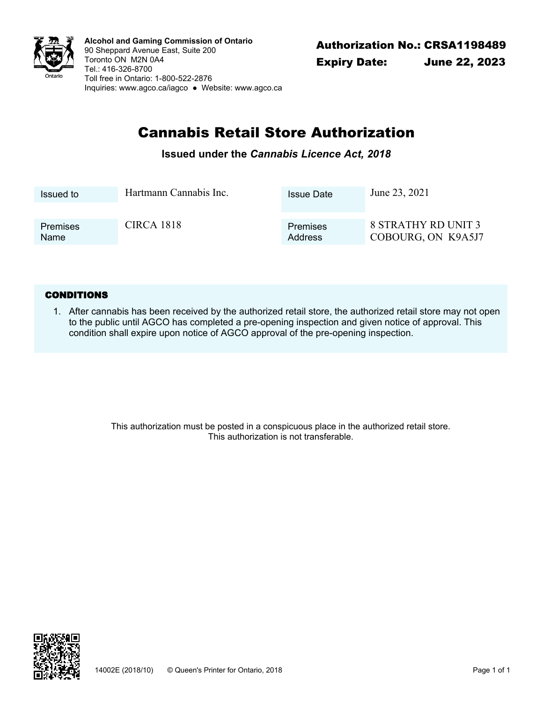

Authorization No.: CRSA1198489 **Alcohol and Gaming Commission of Ontario** 90 Sheppard Avenue East, Suite 200 Toronto ON M2N 0A4 Tel.: 416-326-8700 Toll free in Ontario: 1-800-522-2876 Inquiries: www.agco.ca/iagco ● Website: www.agco.ca

# Cannabis Retail Store Authorization

### **Issued under the** *Cannabis Licence Act, 2018*

| Issued to       | Hartmann Cannabis Inc. | <b>Issue Date</b> | June 23, 2021              |
|-----------------|------------------------|-------------------|----------------------------|
| <b>Premises</b> | <b>CIRCA 1818</b>      | Premises          | <b>8 STRATHY RD UNIT 3</b> |
| <b>Name</b>     |                        | Address           | COBOURG, ON K9A5J7         |

#### **CONDITIONS**

After cannabis has been received by the authorized retail store, the authorized retail store may not open 1. to the public until AGCO has completed a pre-opening inspection and given notice of approval. This condition shall expire upon notice of AGCO approval of the pre-opening inspection.

> This authorization must be posted in a conspicuous place in the authorized retail store. This authorization is not transferable.